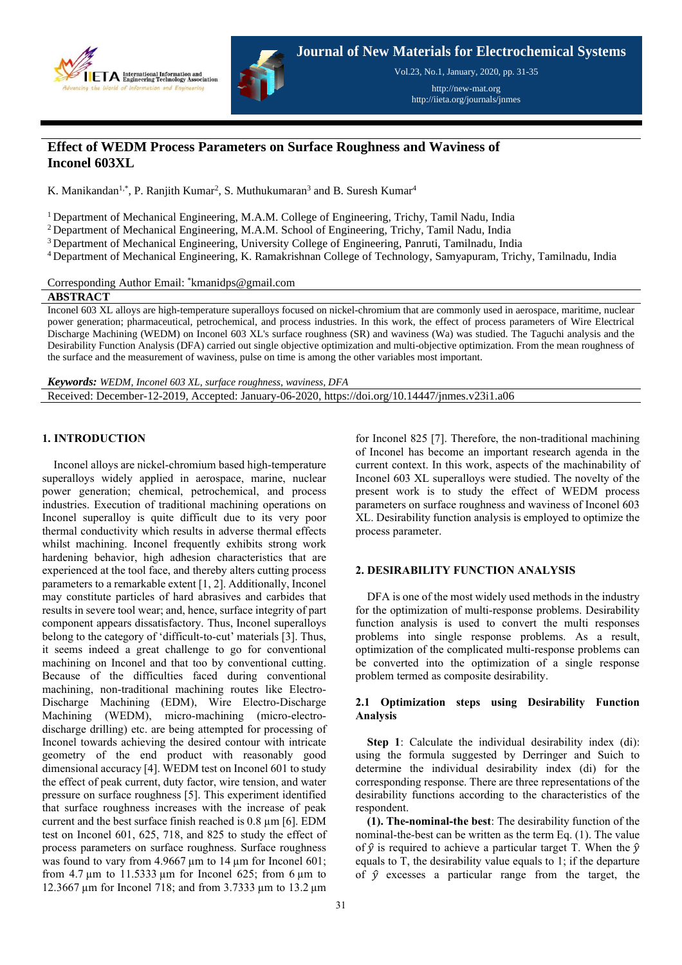



Vol.23, No.1, January, 2020, pp. 31-35

http://new-mat.org http://iieta.org/journals/jnmes

# **Effect of WEDM Process Parameters on Surface Roughness and Waviness of Inconel 603XL**

K. Manikandan<sup>1,\*</sup>, P. Ranjith Kumar<sup>2</sup>, S. Muthukumaran<sup>3</sup> and B. Suresh Kumar<sup>4</sup>

<sup>1</sup> Department of Mechanical Engineering, M.A.M. College of Engineering, Trichy, Tamil Nadu, India

<sup>2</sup> Department of Mechanical Engineering, M.A.M. School of Engineering, Trichy, Tamil Nadu, India

<sup>3</sup> Department of Mechanical Engineering, University College of Engineering, Panruti, Tamilnadu, India

<sup>4</sup>Department of Mechanical Engineering, K. Ramakrishnan College of Technology, Samyapuram, Trichy, Tamilnadu, India

Corresponding Author Email: \*kmanidps@gmail.com

**ABSTRACT**

Inconel 603 XL alloys are high-temperature superalloys focused on nickel-chromium that are commonly used in aerospace, maritime, nuclear power generation; pharmaceutical, petrochemical, and process industries. In this work, the effect of process parameters of Wire Electrical Discharge Machining (WEDM) on Inconel 603 XL's surface roughness (SR) and waviness (Wa) was studied. The Taguchi analysis and the Desirability Function Analysis (DFA) carried out single objective optimization and multi-objective optimization. From the mean roughness of the surface and the measurement of waviness, pulse on time is among the other variables most important.

*Keywords: WEDM, Inconel 603 XL, surface roughness, waviness, DFA* Received: December-12-2019, Accepted: January-06-2020, https://doi.org/10.14447/jnmes.v23i1.a06

# **1. INTRODUCTION**

Inconel alloys are nickel-chromium based high-temperature superalloys widely applied in aerospace, marine, nuclear power generation; chemical, petrochemical, and process industries. Execution of traditional machining operations on Inconel superalloy is quite difficult due to its very poor thermal conductivity which results in adverse thermal effects whilst machining. Inconel frequently exhibits strong work hardening behavior, high adhesion characteristics that are experienced at the tool face, and thereby alters cutting process parameters to a remarkable extent [1, 2]. Additionally, Inconel may constitute particles of hard abrasives and carbides that results in severe tool wear; and, hence, surface integrity of part component appears dissatisfactory. Thus, Inconel superalloys belong to the category of 'difficult-to-cut' materials [3]. Thus, it seems indeed a great challenge to go for conventional machining on Inconel and that too by conventional cutting. Because of the difficulties faced during conventional machining, non-traditional machining routes like Electro-Discharge Machining (EDM), Wire Electro-Discharge Machining (WEDM), micro-machining (micro-electrodischarge drilling) etc. are being attempted for processing of Inconel towards achieving the desired contour with intricate geometry of the end product with reasonably good dimensional accuracy [4]. WEDM test on Inconel 601 to study the effect of peak current, duty factor, wire tension, and water pressure on surface roughness [5]. This experiment identified that surface roughness increases with the increase of peak current and the best surface finish reached is 0.8 µm [6]. EDM test on Inconel 601, 625, 718, and 825 to study the effect of process parameters on surface roughness. Surface roughness was found to vary from 4.9667 µm to 14 µm for Inconel 601; from 4.7  $\mu$ m to 11.5333  $\mu$ m for Inconel 625; from 6  $\mu$ m to 12.3667 µm for Inconel 718; and from 3.7333 µm to 13.2 µm

for Inconel 825 [7]. Therefore, the non-traditional machining of Inconel has become an important research agenda in the current context. In this work, aspects of the machinability of Inconel 603 XL superalloys were studied. The novelty of the present work is to study the effect of WEDM process parameters on surface roughness and waviness of Inconel 603 XL. Desirability function analysis is employed to optimize the process parameter.

# **2. DESIRABILITY FUNCTION ANALYSIS**

DFA is one of the most widely used methods in the industry for the optimization of multi-response problems. Desirability function analysis is used to convert the multi responses problems into single response problems. As a result, optimization of the complicated multi-response problems can be converted into the optimization of a single response problem termed as composite desirability.

# **2.1 Optimization steps using Desirability Function Analysis**

**Step 1**: Calculate the individual desirability index (di): using the formula suggested by Derringer and Suich to determine the individual desirability index (di) for the corresponding response. There are three representations of the desirability functions according to the characteristics of the respondent.

**(1). The-nominal-the best**: The desirability function of the nominal-the-best can be written as the term Eq. (1). The value of  $\hat{y}$  is required to achieve a particular target T. When the  $\hat{y}$ equals to T, the desirability value equals to 1; if the departure of  $\hat{v}$  excesses a particular range from the target, the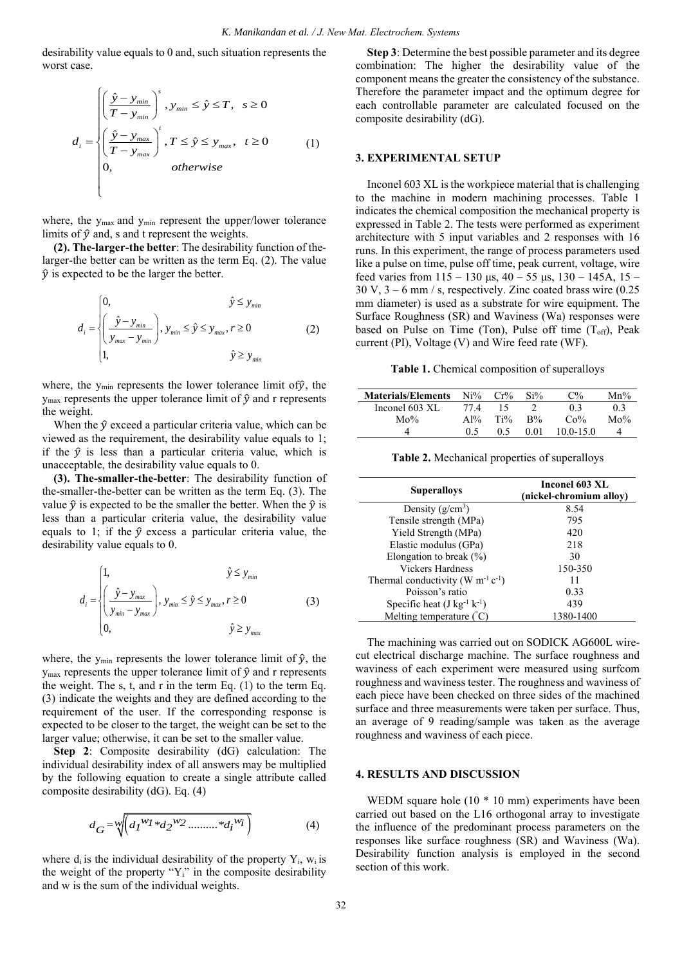desirability value equals to 0 and, such situation represents the worst case.

$$
d_{i} = \begin{cases} \left(\frac{\hat{y} - y_{min}}{T - y_{min}}\right)^{s}, & y_{min} \leq \hat{y} \leq T, \quad s \geq 0\\ \left(\frac{\hat{y} - y_{max}}{T - y_{max}}\right)^{t}, & T \leq \hat{y} \leq y_{max}, \quad t \geq 0\\ 0, & otherwise \end{cases}
$$
(1)

where, the y<sub>max</sub> and y<sub>min</sub> represent the upper/lower tolerance limits of  $\hat{y}$  and, s and t represent the weights.

**(2). The-larger-the better**: The desirability function of thelarger-the better can be written as the term Eq. (2). The value  $\hat{y}$  is expected to be the larger the better.

$$
d_i = \begin{cases} 0, & \hat{y} \le y_{min} \\ \left(\frac{\hat{y} - y_{min}}{y_{max} - y_{min}}\right), y_{min} \le \hat{y} \le y_{max}, r \ge 0 \\ 1, & \hat{y} \ge y_{min} \end{cases}
$$
 (2)

where, the  $y_{min}$  represents the lower tolerance limit of  $\hat{y}$ , the  $y_{\text{max}}$  represents the upper tolerance limit of  $\hat{y}$  and r represents the weight.

When the  $\hat{y}$  exceed a particular criteria value, which can be viewed as the requirement, the desirability value equals to 1; if the  $\hat{y}$  is less than a particular criteria value, which is unacceptable, the desirability value equals to 0.

**(3). The-smaller-the-better**: The desirability function of the-smaller-the-better can be written as the term Eq. (3). The value  $\hat{y}$  is expected to be the smaller the better. When the  $\hat{y}$  is less than a particular criteria value, the desirability value equals to 1; if the  $\hat{y}$  excess a particular criteria value, the desirability value equals to 0.

$$
d_i = \begin{cases} 1, & \hat{y} \le y_{\text{min}} \\ \left(\frac{\hat{y} - y_{\text{max}}}{y_{\text{min}} - y_{\text{max}}}\right), y_{\text{min}} \le \hat{y} \le y_{\text{max}}, r \ge 0 \\ 0, & \hat{y} \ge y_{\text{max}} \end{cases} \tag{3}
$$

where, the  $y_{min}$  represents the lower tolerance limit of  $\hat{y}$ , the  $y_{\text{max}}$  represents the upper tolerance limit of  $\hat{y}$  and r represents the weight. The s, t, and r in the term Eq. (1) to the term Eq. (3) indicate the weights and they are defined according to the requirement of the user. If the corresponding response is expected to be closer to the target, the weight can be set to the larger value; otherwise, it can be set to the smaller value.

**Step 2**: Composite desirability (dG) calculation: The individual desirability index of all answers may be multiplied by the following equation to create a single attribute called composite desirability (dG). Eq. (4)

$$
d_G = \sqrt[m]{\left(d_I^{w_I} * d_2^{w_2} \dots \dots \dots * d_i^{w_i}\right)}
$$
(4)

where  $d_i$  is the individual desirability of the property  $Y_i$ ,  $w_i$  is the weight of the property "Y<sub>i</sub>" in the composite desirability and w is the sum of the individual weights.

**Step 3**: Determine the best possible parameter and its degree combination: The higher the desirability value of the component means the greater the consistency of the substance. Therefore the parameter impact and the optimum degree for each controllable parameter are calculated focused on the composite desirability (dG).

## **3. EXPERIMENTAL SETUP**

Inconel 603 XL is the workpiece material that is challenging to the machine in modern machining processes. Table 1 indicates the chemical composition the mechanical property is expressed in Table 2. The tests were performed as experiment architecture with 5 input variables and 2 responses with 16 runs. In this experiment, the range of process parameters used like a pulse on time, pulse off time, peak current, voltage, wire feed varies from  $115 - 130 \,\mu s$ ,  $40 - 55 \,\mu s$ ,  $130 - 145A$ ,  $15 30 \text{ V}, 3 - 6 \text{ mm}$  / s, respectively. Zinc coated brass wire  $(0.25)$ mm diameter) is used as a substrate for wire equipment. The Surface Roughness (SR) and Waviness (Wa) responses were based on Pulse on Time (Ton), Pulse off time  $(T_{off})$ , Peak current (PI), Voltage (V) and Wire feed rate (WF).

**Table 1.** Chemical composition of superalloys

| <b>Materials/Elements</b> | Ni%        | Cr%    | $Si\%$ | $C\%$         | $Mn\%$ |
|---------------------------|------------|--------|--------|---------------|--------|
| Inconel 603 XL            | 77.4       | 15     |        | 03            | 03     |
| $Mo\%$                    | $\rm A1\%$ | $Ti\%$ | $R\%$  | Co%           | $Mo\%$ |
|                           | 0.5        | 0.5    | 0.01   | $10.0 - 15.0$ |        |

**Table 2.** Mechanical properties of superalloys

| <b>Superalloys</b>                                 | Inconel 603 XL<br>(nickel-chromium allov) |  |  |  |
|----------------------------------------------------|-------------------------------------------|--|--|--|
| Density $(g/cm^3)$                                 | 8.54                                      |  |  |  |
| Tensile strength (MPa)                             | 795                                       |  |  |  |
| Yield Strength (MPa)                               | 420                                       |  |  |  |
| Elastic modulus (GPa)                              | 218                                       |  |  |  |
| Elongation to break $(\%)$                         | 30                                        |  |  |  |
| Vickers Hardness                                   | 150-350                                   |  |  |  |
| Thermal conductivity (W $m^{-1}$ c <sup>-1</sup> ) | 11                                        |  |  |  |
| Poisson's ratio                                    | 0.33                                      |  |  |  |
| Specific heat $(J \text{ kg}^{-1} \text{ k}^{-1})$ | 439                                       |  |  |  |
| Melting temperature (°C)                           | 1380-1400                                 |  |  |  |

The machining was carried out on SODICK AG600L wirecut electrical discharge machine. The surface roughness and waviness of each experiment were measured using surfcom roughness and waviness tester. The roughness and waviness of each piece have been checked on three sides of the machined surface and three measurements were taken per surface. Thus, an average of 9 reading/sample was taken as the average roughness and waviness of each piece.

## **4. RESULTS AND DISCUSSION**

WEDM square hole (10  $*$  10 mm) experiments have been carried out based on the L16 orthogonal array to investigate the influence of the predominant process parameters on the responses like surface roughness (SR) and Waviness (Wa). Desirability function analysis is employed in the second section of this work.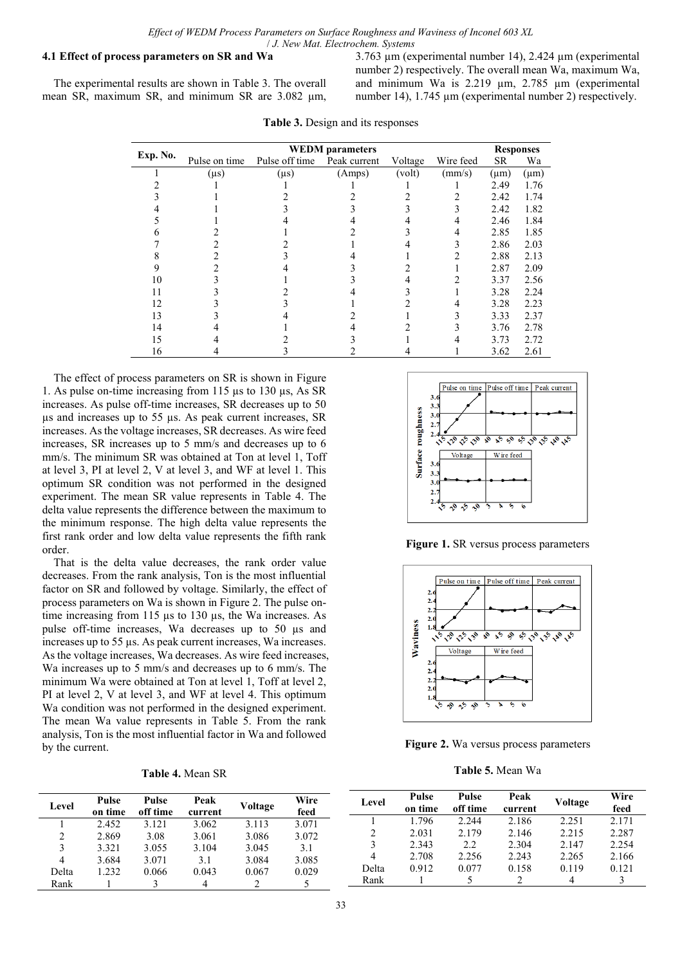### **4.1 Effect of process parameters on SR and Wa**

The experimental results are shown in Table 3. The overall mean SR, maximum SR, and minimum SR are 3.082 um, 3.763 µm (experimental number 14), 2.424 µm (experimental number 2) respectively. The overall mean Wa, maximum Wa, and minimum Wa is 2.219 µm, 2.785 µm (experimental number 14), 1.745 um (experimental number 2) respectively.

| Exp. No. |               | <b>Responses</b> |              |         |           |           |           |
|----------|---------------|------------------|--------------|---------|-----------|-----------|-----------|
|          | Pulse on time | Pulse off time   | Peak current | Voltage | Wire feed | <b>SR</b> | Wa        |
|          | $(\mu s)$     | $(\mu s)$        | (Amps)       | (volt)  | (mm/s)    | $(\mu m)$ | $(\mu m)$ |
|          |               |                  |              |         |           | 2.49      | 1.76      |
|          |               |                  |              |         |           | 2.42      | 1.74      |
|          |               |                  |              |         |           | 2.42      | 1.82      |
|          |               |                  |              |         |           | 2.46      | 1.84      |
|          |               |                  |              |         |           | 2.85      | 1.85      |
|          |               |                  |              |         |           | 2.86      | 2.03      |
|          |               |                  |              |         |           | 2.88      | 2.13      |
|          |               |                  |              |         |           | 2.87      | 2.09      |
| 10       |               |                  |              |         |           | 3.37      | 2.56      |
| 11       |               |                  |              |         |           | 3.28      | 2.24      |
| 12       |               |                  |              |         |           | 3.28      | 2.23      |
| 13       |               |                  |              |         |           | 3.33      | 2.37      |
| 14       |               |                  |              |         |           | 3.76      | 2.78      |
| 15       |               |                  |              |         |           | 3.73      | 2.72      |
| 16       |               |                  |              |         |           | 3.62      | 2.61      |

**Table 3.** Design and its responses

The effect of process parameters on SR is shown in Figure 1. As pulse on-time increasing from 115 µs to 130 µs, As SR increases. As pulse off-time increases, SR decreases up to 50 µs and increases up to 55 µs. As peak current increases, SR increases. Asthe voltage increases, SR decreases. As wire feed increases, SR increases up to 5 mm/s and decreases up to 6 mm/s. The minimum SR was obtained at Ton at level 1, Toff at level 3, PI at level 2, V at level 3, and WF at level 1. This optimum SR condition was not performed in the designed experiment. The mean SR value represents in Table 4. The delta value represents the difference between the maximum to the minimum response. The high delta value represents the first rank order and low delta value represents the fifth rank order.

That is the delta value decreases, the rank order value decreases. From the rank analysis, Ton is the most influential factor on SR and followed by voltage. Similarly, the effect of process parameters on Wa is shown in Figure 2. The pulse ontime increasing from 115 µs to 130 µs, the Wa increases. As pulse off-time increases, Wa decreases up to 50 µs and increases up to 55 µs. As peak current increases, Wa increases. As the voltage increases, Wa decreases. As wire feed increases, Wa increases up to 5 mm/s and decreases up to 6 mm/s. The minimum Wa were obtained at Ton at level 1, Toff at level 2, PI at level 2, V at level 3, and WF at level 4. This optimum Wa condition was not performed in the designed experiment. The mean Wa value represents in Table 5. From the rank analysis, Ton is the most influential factor in Wa and followed by the current.

| Table 4. Mean SR |  |  |
|------------------|--|--|
|------------------|--|--|



**Figure 1.** SR versus process parameters



**Figure 2.** Wa versus process parameters

**Table 5.** Mean Wa

| Level | Pulse   | Pulse<br>off time | Peak    | Voltage | Wire<br>feed | Level | Pulse<br>on time | Pulse<br>off time | Peak<br>current | Voltage | Wire<br>feed |
|-------|---------|-------------------|---------|---------|--------------|-------|------------------|-------------------|-----------------|---------|--------------|
|       | on time |                   | current |         |              |       |                  |                   |                 |         |              |
|       | 2.452   | 3.121             | 3.062   | 3.113   | 3.071        |       | .796             | 2.244             | 2.186           | 2.251   | 2.171        |
|       |         |                   |         |         |              |       | 2.031            | 2.179             | 2.146           | 2.215   | 2.287        |
|       | 2.869   | 3.08              | 3.061   | 3.086   | 3.072        |       |                  |                   |                 |         |              |
|       | 3.321   | 3.055             | 3.104   | 3.045   | 3.1          |       | 2.343            | 2.2               | 2.304           | 2.147   | 2.254        |
|       |         |                   |         |         |              |       |                  |                   |                 |         |              |
| 4     | 3.684   | 3.071             | 3.1     | 3.084   | 3.085        |       | 2.708            | 2.256             | 2.243           | 2.265   | 2.166        |
|       |         |                   |         |         |              | Delta | 0.912            | 0.077             | 0.158           | 0.119   | 0.121        |
| Delta | .232    | 0.066             | 0.043   | 0.067   | 0.029        |       |                  |                   |                 |         |              |
| Rank  |         |                   |         |         |              | Rank  |                  |                   |                 |         |              |
|       |         |                   |         |         |              |       |                  |                   |                 |         |              |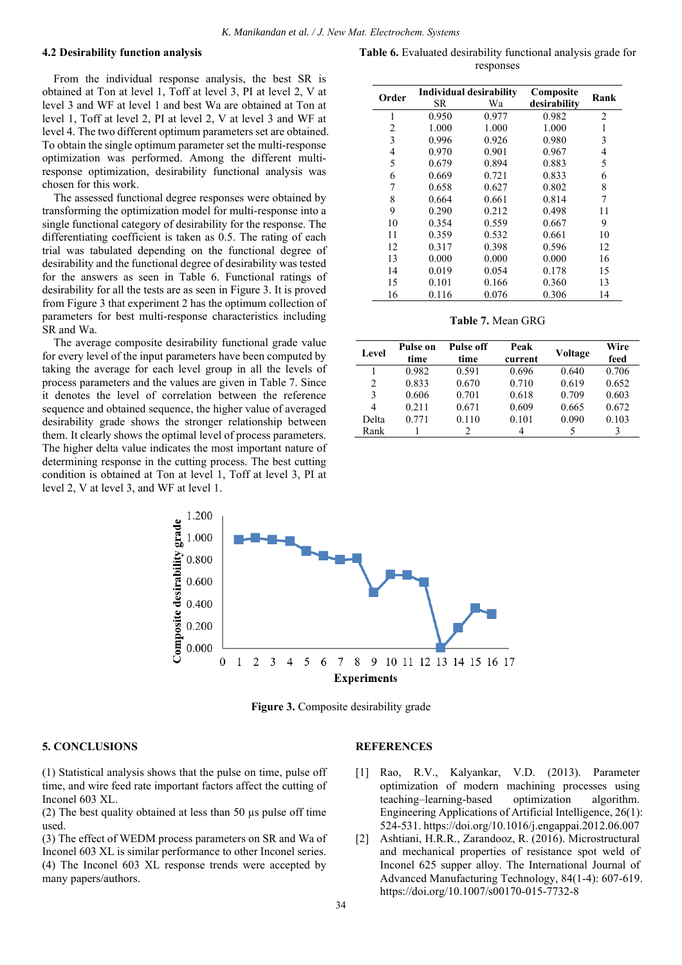#### **4.2 Desirability function analysis**

From the individual response analysis, the best SR is obtained at Ton at level 1, Toff at level 3, PI at level 2, V at level 3 and WF at level 1 and best Wa are obtained at Ton at level 1, Toff at level 2, PI at level 2, V at level 3 and WF at level 4. The two different optimum parameters set are obtained. To obtain the single optimum parameter set the multi-response optimization was performed. Among the different multiresponse optimization, desirability functional analysis was chosen for this work.

The assessed functional degree responses were obtained by transforming the optimization model for multi-response into a single functional category of desirability for the response. The differentiating coefficient is taken as 0.5. The rating of each trial was tabulated depending on the functional degree of desirability and the functional degree of desirability was tested for the answers as seen in Table 6. Functional ratings of desirability for all the tests are as seen in Figure 3. It is proved from Figure 3 that experiment 2 has the optimum collection of parameters for best multi-response characteristics including SR and Wa.

The average composite desirability functional grade value for every level of the input parameters have been computed by taking the average for each level group in all the levels of process parameters and the values are given in Table 7. Since it denotes the level of correlation between the reference sequence and obtained sequence, the higher value of averaged desirability grade shows the stronger relationship between them. It clearly shows the optimal level of process parameters. The higher delta value indicates the most important nature of determining response in the cutting process. The best cutting condition is obtained at Ton at level 1, Toff at level 3, PI at level 2, V at level 3, and WF at level 1.

**Table 6.** Evaluated desirability functional analysis grade for responses

| Order          | Individual desirability<br>SR.<br>Wа |       | Composite<br>desirability | Rank           |
|----------------|--------------------------------------|-------|---------------------------|----------------|
| 1              | 0.950                                | 0.977 | 0.982                     | $\overline{c}$ |
| $\overline{c}$ | 1.000                                | 1.000 | 1.000                     | 1              |
| 3              | 0.996                                | 0.926 | 0.980                     | 3              |
| 4              | 0.970                                | 0.901 | 0.967                     | 4              |
| 5              | 0.679                                | 0.894 | 0.883                     | 5              |
| 6              | 0.669                                | 0.721 | 0.833                     | 6              |
| 7              | 0.658                                | 0.627 | 0.802                     | 8              |
| 8              | 0.664                                | 0.661 | 0.814                     | 7              |
| 9              | 0.290                                | 0.212 | 0.498                     | 11             |
| 10             | 0.354                                | 0.559 | 0.667                     | 9              |
| 11             | 0.359                                | 0.532 | 0.661                     | 10             |
| 12             | 0.317                                | 0.398 | 0.596                     | 12             |
| 13             | 0.000                                | 0.000 | 0.000                     | 16             |
| 14             | 0.019                                | 0.054 | 0.178                     | 15             |
| 15             | 0.101                                | 0.166 | 0.360                     | 13             |
| 16             | 0.116                                | 0.076 | 0.306                     | 14             |

**Table 7.** Mean GRG

| Level          | Pulse on<br>time | Peak<br><b>Pulse off</b><br>time<br>current |       | Voltage | Wire<br>feed |
|----------------|------------------|---------------------------------------------|-------|---------|--------------|
|                | 0.982            | 0.591                                       | 0.696 | 0.640   | 0.706        |
| $\overline{c}$ | 0.833            | 0.670                                       | 0.710 | 0.619   | 0.652        |
| 3              | 0.606            | 0.701                                       | 0.618 | 0.709   | 0.603        |
| 4              | 0.211            | 0.671                                       | 0.609 | 0.665   | 0.672        |
| Delta          | 0.771            | 0.110                                       | 0.101 | 0.090   | 0.103        |
| Rank           |                  |                                             |       |         |              |



**Figure 3.** Composite desirability grade

#### **5. CONCLUSIONS**

(1) Statistical analysis shows that the pulse on time, pulse off time, and wire feed rate important factors affect the cutting of Inconel 603 XL.

(2) The best quality obtained at less than 50 µs pulse off time used.

(3) The effect of WEDM process parameters on SR and Wa of Inconel 603 XL is similar performance to other Inconel series. (4) The Inconel 603 XL response trends were accepted by many papers/authors.

#### **REFERENCES**

- [1] Rao, R.V., Kalyankar, V.D. (2013). Parameter optimization of modern machining processes using teaching–learning-based optimization algorithm. Engineering Applications of Artificial Intelligence, 26(1): 524-531. https://doi.org/10.1016/j.engappai.2012.06.007
- [2] Ashtiani, H.R.R., Zarandooz, R. (2016). Microstructural and mechanical properties of resistance spot weld of Inconel 625 supper alloy. The International Journal of Advanced Manufacturing Technology, 84(1-4): 607-619. https://doi.org/10.1007/s00170-015-7732-8